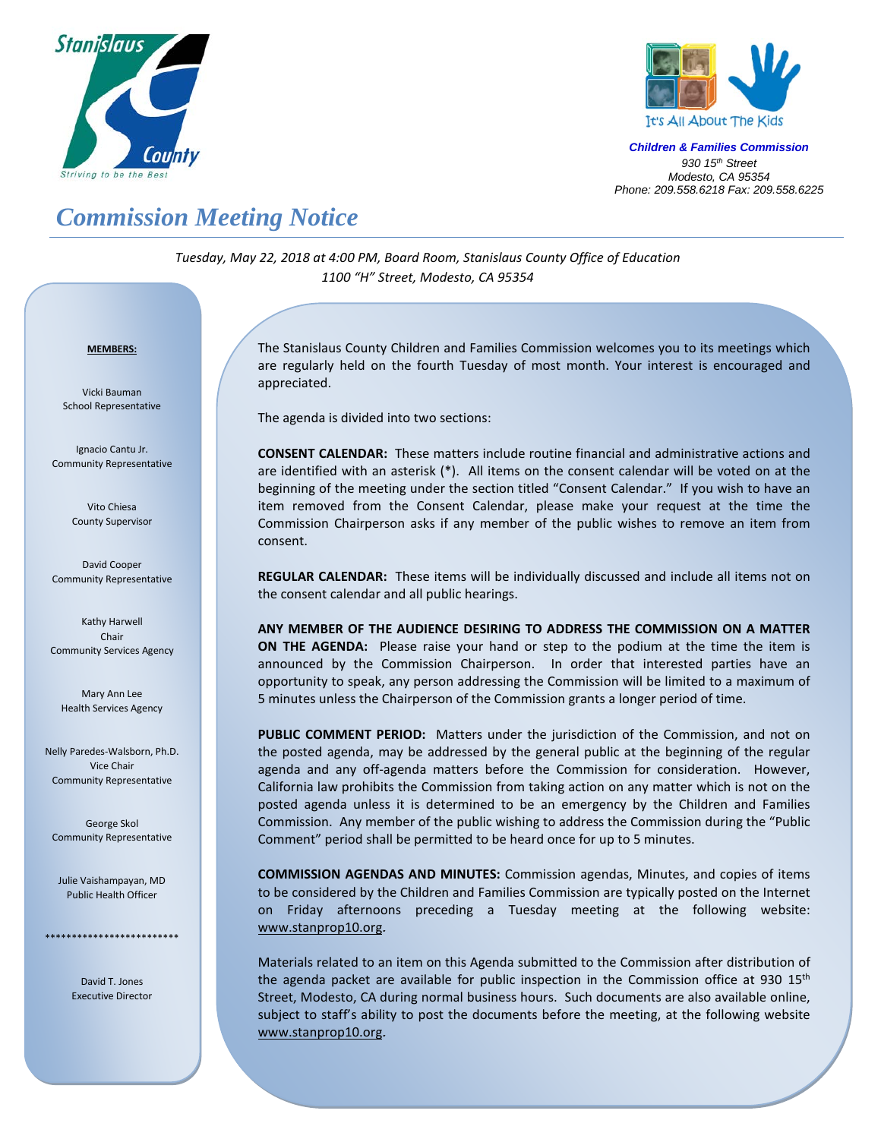



*Children & Families Commission 930 15th Street Modesto, CA 95354 Phone: 209.558.6218 Fax: 209.558.6225*

## *Commission Meeting Notice*

*Tuesday, May 22, 2018 at 4:00 PM, Board Room, Stanislaus County Office of Education 1100 "H" Street, Modesto, CA 95354*

## *<sup>U</sup>***MEMBERS:**

Vicki Bauman School Representative

Ignacio Cantu Jr. Community Representative

> Vito Chiesa County Supervisor

David Cooper Community Representative

Kathy Harwell Chair Community Services Agency

Mary Ann Lee Health Services Agency

Nelly Paredes-Walsborn, Ph.D. Vice Chair Community Representative

George Skol Community Representative

Julie Vaishampayan, MD Public Health Officer

\*\*\*\*\*\*\*\*\*\*\*\*\*\*\*\*\*\*\*\*\*\*\*\*\*

David T. Jones Executive Director

The Stanislaus County Children and Families Commission welcomes you to its meetings which are regularly held on the fourth Tuesday of most month. Your interest is encouraged and appreciated.

The agenda is divided into two sections:

**CONSENT CALENDAR:** These matters include routine financial and administrative actions and are identified with an asterisk (\*). All items on the consent calendar will be voted on at the beginning of the meeting under the section titled "Consent Calendar." If you wish to have an item removed from the Consent Calendar, please make your request at the time the Commission Chairperson asks if any member of the public wishes to remove an item from consent.

**REGULAR CALENDAR:** These items will be individually discussed and include all items not on the consent calendar and all public hearings.

**ANY MEMBER OF THE AUDIENCE DESIRING TO ADDRESS THE COMMISSION ON A MATTER ON THE AGENDA:** Please raise your hand or step to the podium at the time the item is announced by the Commission Chairperson. In order that interested parties have an opportunity to speak, any person addressing the Commission will be limited to a maximum of 5 minutes unless the Chairperson of the Commission grants a longer period of time.

**PUBLIC COMMENT PERIOD:** Matters under the jurisdiction of the Commission, and not on the posted agenda, may be addressed by the general public at the beginning of the regular agenda and any off-agenda matters before the Commission for consideration. However, California law prohibits the Commission from taking action on any matter which is not on the posted agenda unless it is determined to be an emergency by the Children and Families Commission. Any member of the public wishing to address the Commission during the "Public Comment" period shall be permitted to be heard once for up to 5 minutes.

**COMMISSION AGENDAS AND MINUTES:** Commission agendas, Minutes, and copies of items to be considered by the Children and Families Commission are typically posted on the Internet on Friday afternoons preceding a Tuesday meeting at the following website: [www.stanprop10.org](http://www.stanprop10.org/).

Materials related to an item on this Agenda submitted to the Commission after distribution of the agenda packet are available for public inspection in the Commission office at 930  $15<sup>th</sup>$ Street, Modesto, CA during normal business hours. Such documents are also available online, subject to staff's ability to post the documents before the meeting, at the following website [www.stanprop10.org](http://www.stanprop10.org/).